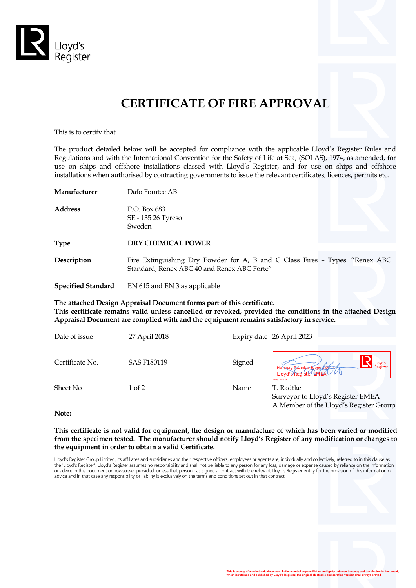

# **CERTIFICATE OF FIRE APPROVAL**

This is to certify that

The product detailed below will be accepted for compliance with the applicable Lloyd's Register Rules and Regulations and with the International Convention for the Safety of Life at Sea, (SOLAS), 1974, as amended, for use on ships and offshore installations classed with Lloyd's Register, and for use on ships and offshore installations when authorised by contracting governments to issue the relevant certificates, licences, permits etc.

| Manufacturer | Dafo Fomtec AB |  |  |
|--------------|----------------|--|--|
|              |                |  |  |

**Address** P.O. Box 683 SE - 135 26 Tyresö Sweden

**Type DRY CHEMICAL POWER**

**Description** Fire Extinguishing Dry Powder for A, B and C Class Fires - Types: "Renex ABC Standard, Renex ABC 40 and Renex ABC Forte"

**Specified Standard** EN 615 and EN 3 as applicable

**The attached Design Appraisal Document forms part of this certificate.**

**This certificate remains valid unless cancelled or revoked, provided the conditions in the attached Design Appraisal Document are complied with and the equipment remains satisfactory in service.**

| Date of issue   | 27 April 2018      |        | Expiry date 26 April 2023                                                                          |
|-----------------|--------------------|--------|----------------------------------------------------------------------------------------------------|
| Certificate No. | <b>SAS F180119</b> | Signed | Lloyd's<br>Register<br>Hamburg Technical Support Of fice<br>Lloyd's/Register-EMEA<br>LR030.2016.06 |
| Sheet No        | 1 of 2             | Name   | T. Radtke<br>Surveyor to Lloyd's Register EMEA                                                     |

**Note:**

**This certificate is not valid for equipment, the design or manufacture of which has been varied or modified from the specimen tested. The manufacturer should notify Lloyd's Register of any modification or changes to the equipment in order to obtain a valid Certificate.**

Lloyd's Register Group Limited, its affiliates and subsidiaries and their respective officers, employees or agents are, individually and collectively, referred to in this clause as<br>the 'Lloyd's Register'. Lloyd's Register or advice in this document or howsoever provided, unless that person has signed a contract with the relevant Lloyd's Register entity for the provision of this information or advice and in that case any responsibility or liability is exclusively on the terms and conditions set out in that contract.



A Member of the Lloyd's Register Group